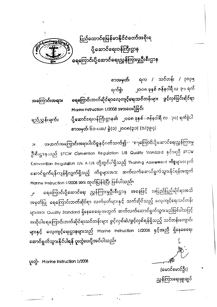ပြည်ထောင်စုမြန်မာနိုင်ငံတော်အစိုးရ ပို့ဆောင်ရေးဝန်ကြီးဌာန ဓရကြောင်းပို့ဆောင်ရေးညွှန်ကြားမှုဦးစီးဌာန

စာ<mark>အမှတ်</mark>၊ ရက / သင်တန်း / ၃၀၃၅ ၂ဝဝ၈ ခုနှစ် ဇန်နဝါရီ လ ၃၁ ရက် ရက်စွဲ၊ ရေကြောင်းဘက်ဆိုင်ရာလေ့ကျင့်ရေးသင်တန်းများ ဖွင့်လှစ်ခြင်းဆိုင်ရာ အကြောင်းအရာ။ Marine Instruction 1/2008 အားပေးပို့ခြင်း ပို့ဆောင်ရေးဝန်ကြီးဌာန၏ ၂၀၀၈ ခုနှစ် ၊ ဇန်နဝါရီ လ ႏုဝ) ရက်စွဲပါ စာအမှတ်၊ ၆၁-ပဆ/ ခွဲ(၁) ၂၀၀၈(၃၁) (၁/၃၉၄)

ရဉ $\mathfrak{L}$ ညွှန်းချက်။

<u>အထက်အကြောင်းအရာပါကိစ္စနှင့်ပတ်သက်၍</u>း "ရေကြောင်းပို့ဆောင်ရေးညွှန်ကြားမှု ٦II ဦးစီးဌာနသည် STCW Convention Regulation 1/8 Quality Standard နှင့်အညီ STCW Convention Regulation 1/6, A-1/6 တို့တွင်ပါရှိသည့် Training Assessment ကိစ္စများအနက် ဆောင်ရွက်ရန်ကျန်ရှိလျှက်ရှိသည့် ကိစ္စများအား ဆက်လက်ဆောင်ရွက်သွားနိုင်ရန်အတွက် Marine Instruction 1/2008 အား ထုတ်ပြန်ခဲ့ပြီး ဖြစ်ပါသည်။

ရေကြောင်းပို့ဆောင်ရေး ညွှန်ကြားမှုဦးစီးဌာန အနေဖြင့် အပြည်ပြည်ဆိုင်ရာအသိ  $\mathbf{r}^{\dagger}$ အမှတ်ပြု <mark>ရေကြောင်းဘက်ဆိုင်ရာ</mark> လက်မှတ်များနှင့် သက်ဆိုင်သည့် လေ့ကျင့်ရေးသင်တန်း များအား Quality Standard ရှိနေစေရေးအတွက် ဆက်လက်ဆောင်ရွက်သွားမည်ဖြစ်ပါသပြင့် အဆိုပါရေကြောင်းဘက်ဆိုင်ရာသင်တန်းများ ဖွင့်လှစ်ဆဲ/ဖွ<mark>င့်လှစ်ရန်ရှိသည့်</mark> သင်တန်းကျောင်း များနှင့် လေ့ကျင့်ရေးဌာနများသည် Marine Instruction 1/2008 နှင့်အညီ ရှိနေစေရေး ဆောင်ရွက်သွားနိုင်ပါ<mark>ရန် ပူး</mark>တွဲပေးပို့အပ်ပါသည်။

γιολ- Marine Instruction 1/2008

(မောင်မောင်ဦး) ညွှန်ကြားရေးမှူးချုပ်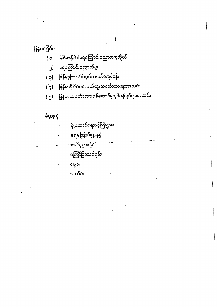ဖြန့်ဝေခြင်း-

- မြန်မာနိုင်ငံရေကြောင်းပညာတက္ကသိုလ်၊  $\overline{z}$
- <mark>ရေကြောင်း</mark>ပညာသိပ္ပံ၊  $\overline{L}$
- မြ<mark>န်မာ့ကြယ်ငါး</mark>ပွင့်သင်္ဘောလုပ်ငန်း၊  $(q)$
- မြန်မာနိုင်ငံပင်လယ်ကူးသင်္ဘောသာများအသင်း၊  $\overline{(q)}$
- မြန်မာသင်္ဘောသာ၁န်ဆောင်မှုလုပ်ငန်းရှင်များအသင်း၊  $\mathfrak{c}$

 $\cdot$ 

## မိတ္တုကို

- **ပို့ဆောင်ရေးဝန်ကြီးဌာန**၊
- ရေကြောင်းဌာနခွဲ၊
	- <del>စက်မှုဌာန</del>ခွဲ၊<sup>း</sup>
	- ကြော်ငြာသင်ပုန်း၊
	- မွှော
	- သက်ခံ၊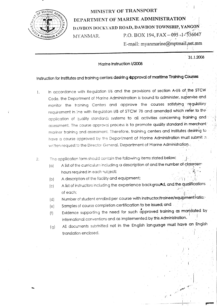

## MINISTRY OF TRANSPORT DEPARTMENT OF MARINE ADMINISTRATION DAWBON DOCKYARD ROAD, DAWBON TOWNSHIP, YANGON P.O. BOX 194, FAX - 095 -1-556047 MYANMAR. E-mail: myanmarine@mptmail.net.mm

 $31.1.2008$ 

## Marine Instruction I/2008

## Instruction for Institutes and training centers desiring approval of maritime Training Courses

- In accordance with Regulation I/6 and the provisions of section A-I/6 of the STCW  $1.$ Code, the Department of Marine Administration is bound to administer, supervise and monitor the training Centers and approve the courses satisfying regulatory requirement in line with Regulation I/8 of STCW 78 and amended which refer to the application of quality standards systems to all activities concerning training and assessment. The course approval process is to promote quality standard in merchant: mariner training and assessment. Therefore, training centers and Institutes desiring to have a course approved by the Department of Marine Administration must submit a written request to the Director General, Department of Marine Administration.
- The application form should contain the following items stated below:  $2.$ 
	- A list of the curriculum including a description of and the number of classroom  $(a)$ hours required in each subject;
	- A description of the facility and equipment;  $(b)$
	- A list of instructors including the experience background, and the qualifications  $(C)$ of each;
	- Number of student enrolled per course with instructor/trainee/equipment ratio;  $(d)$
	- Samples of course completion certification to be issued; and  $(e)$
	- Evidence supporting the need for such approved training as mandated by  $(f)$ international conventions and as implemented by this Administration.
	- All documents submitted not in the English language must have an English  $(q)$ translation enclosed.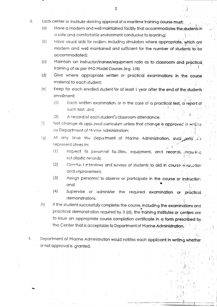- $\mathfrak{Z}$ . Each center or institute desiring approval of a maritime training course must:
	- $(a)$ Have a modern and well-maintained facility that accommodates the students in a safe and comfortable environment conducive to learning;
	- $(b)$ Have visual aids for realism, including simulators where appropriate, which are modern and well maintained and sufficient for the number of students to be accommodated:
	- $\left( c\right)$ Maintain an instructor/trainee/equipment ratio as to classroom and practical training of as per IMO Model Courses (e.g. 1/8)
	- $(d)$ Give where appropriate written or practical examinations in the course material to each student:
	- $(e)$ Keep for each enrolled student for at least 1 year after the end of the students enrollment:
		- Each written examination, or in the case of a practical test, d report of  $(1)$ such test; and
		- $(2)$ A record of each student's classroom attendance.
	- $\binom{2}{1}$ Not change its approved curriculum unless that change is approved in writing by Department of Marine Administration:
	- At any time the Department of Marine Administration, sticle setted it's  $(a)$ representatives to:
		- $(1)$ Inspect its personnel facilities, equipment, and records, jincludine. scholastic records:
		- $(2)$ Conduct interviews and surveys of students to aid in course evaluation and improvement;
		- $(3)$ Assign personne! to observe or participate in the course or instruction: and
		- $(4)$ Supervise or administer the required examination or practical demonstrations.
	- If the student successfully completes the course, including the examinations and  $(h)$ practical demonstration required by 3 (d), the training Institutes or centers are to issue an appropriate course completion certificate in a form prescribed by. the Center that is acceptable to Department of Marine Administration.
- $\overline{4}$ . Department of Marine Administration would notifies each applicant in writing whether or not approval is granted.

 $\overline{2}$